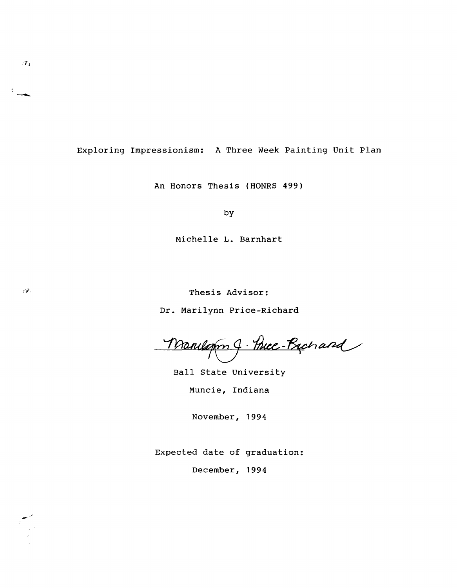Exploring Impressionism: A Three Week Painting Unit plan

An Honors Thesis (HONRS 499)

by

Michelle L. Barnhart

Thesis Advisor:

Dr. Marilynn Price-Richard

Manuarn J. Price-Bachard

Ball state University Muncie, Indiana

November, 1994

Expected date of graduation:

December, 1994



-

 $^2$  )

 $\epsilon$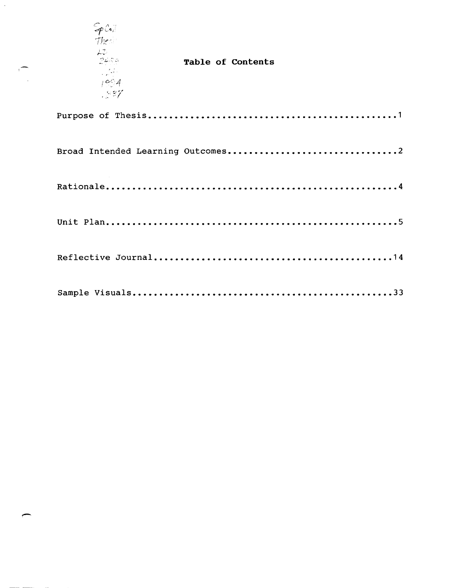| SpCo<br>These<br>レカー<br>್ಲಿಲ್ಲಿ ಎ<br>$\sim 14.5$<br>1994<br>1837 | Table of Contents |
|------------------------------------------------------------------|-------------------|
|                                                                  |                   |
|                                                                  |                   |
|                                                                  |                   |
|                                                                  |                   |
|                                                                  |                   |
|                                                                  |                   |

 $\sum_{i=1}^{n}$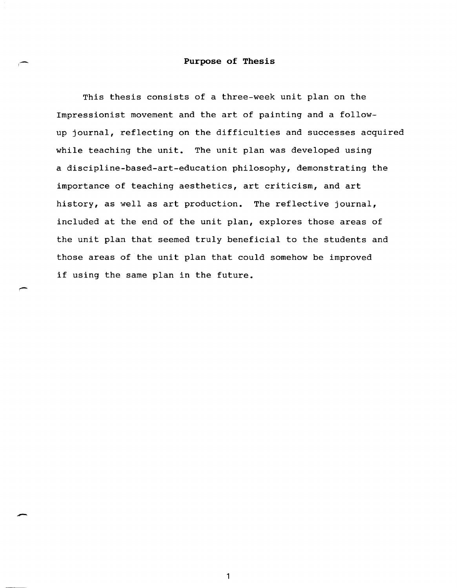### **Purpose of Thesis**

This thesis consists of a three-week unit plan on the Impressionist movement and the art of painting and a followup journal, reflecting on the difficulties and successes acquired while teaching the unit. The unit plan was developed using a discipline-based-art-education philosophy, demonstrating the importance of teaching aesthetics, art criticism, and art history, as well as art production. The reflective journal, included at the end of the unit plan, explores those areas of the unit plan that seemed truly beneficial to the students and those areas of the unit plan that could somehow be improved if using the same plan in the future.

-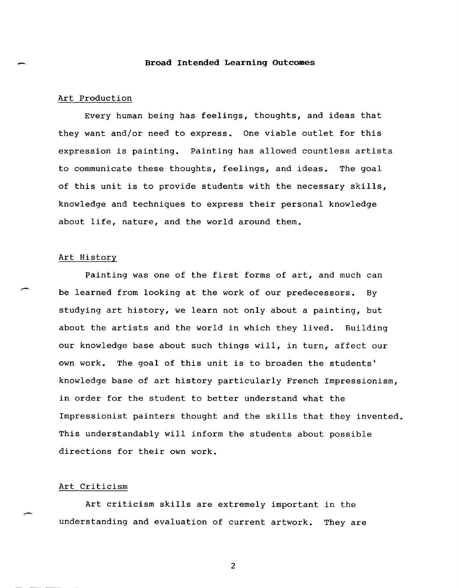#### Broad Intended Learning Outcomes

### Art Production

Every human being has feelings, thoughts, and ideas that they want and/or need to express. One viable outlet for this expression is painting. Painting has allowed countless artists to communicate these thoughts, feelings, and ideas. The goal of this unit is to provide students with the necessary skills, knowledge and techniques to express their personal knowledge about life, nature, and the world around them.

### Art History

Painting was one of the first forms of art, and much can be learned from looking at the work of our predecessors. By studying art history, we learn not only about a painting, but about the artists and the world in which they lived. Building our knowledge base about such things will, in turn, affect our own work. The goal of this unit is to broaden the students' knowledge base of art history particularly French Impressionism, in order for the student to better understand what the Impressionist painters thought and the skills that they invented. This understandably will inform the students about possible directions for their own work.

### Art Criticism

Art criticism skills are extremely important in the understanding and evaluation of current artwork. They are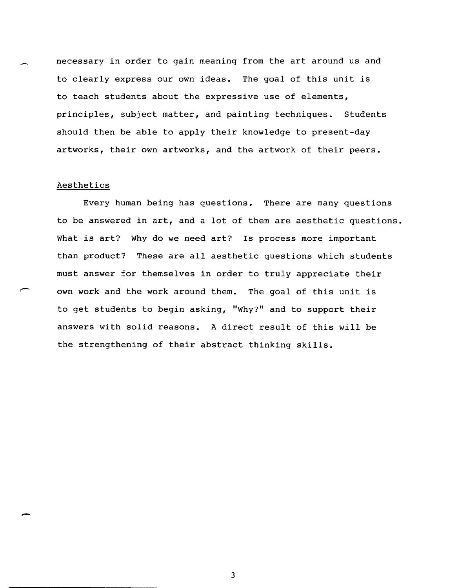necessary in order to gain meaning from the art around us and to clearly express our own ideas. The goal of this unit is to teach students about the expressive use of elements, principles, subject matter, and painting techniques. students should then be able to apply their knowledge to present-day artworks, their own artworks, and the artwork of their peers.

### Aesthetics

-

Every human being has questions. There are many questions to be answered in art, and a lot of them are aesthetic questions. What is art? Why do we need art? Is process more important than product? These are all aesthetic questions which students must answer for themselves in order to truly appreciate their own work and the work around them. The goal of this unit is to get students to begin asking, "Why?" and to support their answers with solid reasons. A direct result of this will be the strengthening of their abstract thinking skills.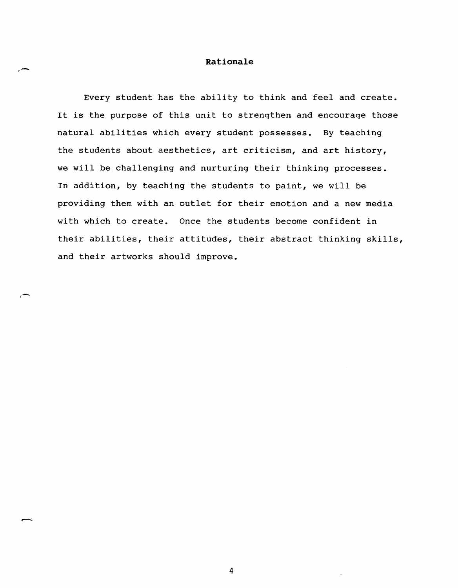### **Rationale**

.-

Every student has the ability to think and feel and create. It is the purpose of this unit to strengthen and encourage those natural abilities which every student possesses. By teaching the students about aesthetics, art criticism, and art history, we will be challenging and nurturing their thinking processes. In addition, by teaching the students to paint, we will be providing them with an outlet for their emotion and a new media with which to create. Once the students become confident in their abilities, their attitudes, their abstract thinking skills, and their artworks should improve.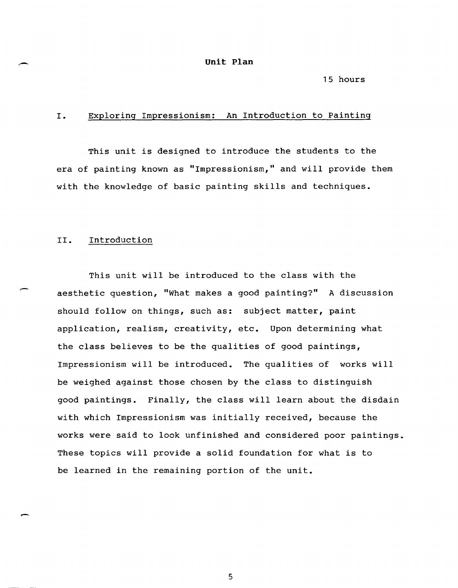#### **unit Plan**

### 15 hours

### I. Exploring Impressionism: An Introduction to Painting

This unit is designed to introduce the students to the era of painting known as "Impressionism," and will provide them with the knowledge of basic painting skills and techniques.

### II. Introduction

This unit will be introduced to the class with the aesthetic question, "What makes a good painting?" A discussion should follow on things, such as: subject matter, paint application, realism, creativity, etc. Upon determining what the class believes to be the qualities of good paintings, Impressionism will be introduced. The qualities of works will be weighed against those chosen by the class to distinguish good paintings. Finally, the class will learn about the disdain with which Impressionism was initially received, because the works were said to look unfinished and considered poor paintings. These topics will provide a solid foundation for what is to be learned in the remaining portion of the unit.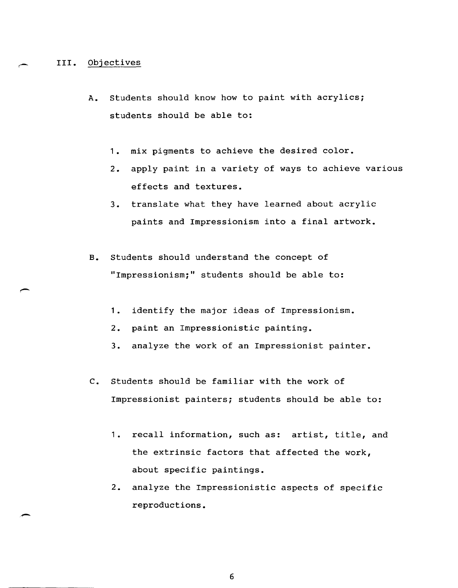### III. Objectives

-

- A. students should know how to paint with acrylics; students should be able to:
	- 1. mix pigments to achieve the desired color.
	- 2. apply paint in a variety of ways to achieve various effects and textures.
	- 3. translate what they have learned about acrylic paints and Impressionism into a final artwork.
- B. Students should understand the concept of "Impressionism;" students should be able to:
	- 1. identify the major ideas of Impressionism.
	- 2. paint an Impressionistic painting.
	- 3. analyze the work of an Impressionist painter.
- c. Students should be familiar with the work of Impressionist painters; students should be able to:
	- 1. recall information, such as: artist, title, and the extrinsic factors that affected the work, about specific paintings.
	- 2. analyze the Impressionistic aspects of specific reproductions.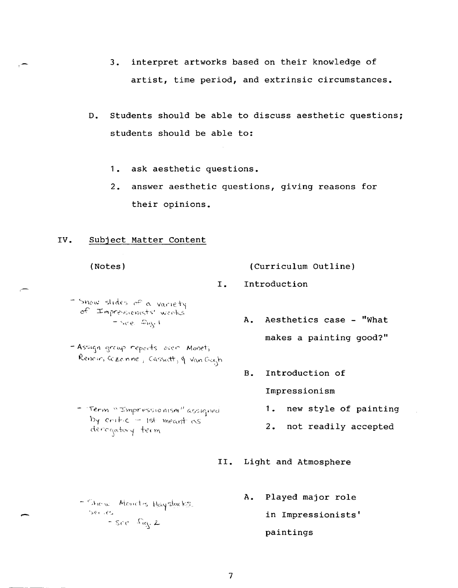- **3. interpret artworks based on their knowledge of artist, time period, and extrinsic circumstances.**
- **D. Students should be able to discuss aesthetic questions; students should be able to:** 
	- **1. ask aesthetic questions.**
	- **2. answer aesthetic questions, giving reasons for their opinions.**

### **IV. Subject Matter content**

**(Notes)** 

,-

**(Curriculum Outline)** 

- **I. Introduction**
- Snow slides of a variety of Impressionists' works'  $=$  See.  $\mathfrak{L}_{\mathfrak{t}\mathfrak{g}_1}$  1
- Assign group reports over Monet, Renoir, Cczonne j. Cassatt, q. Van Gogh
	- Term "Impressionism" assigned  $b$ y critic  $-$  1st meant as derogatory term
- **A. Aesthetics case - "What makes a painting good?"**
- **B. Introduction of Impressionism** 
	- **1. new style of painting**
	- **2. not readily accepted**
- **II. Light and Atmosphere**
- Shiew Monet's Haysleeks Serves.  $-5\epsilon e$   $\Omega$ g. 2
- **A. Played major role in Impressionists' paintings**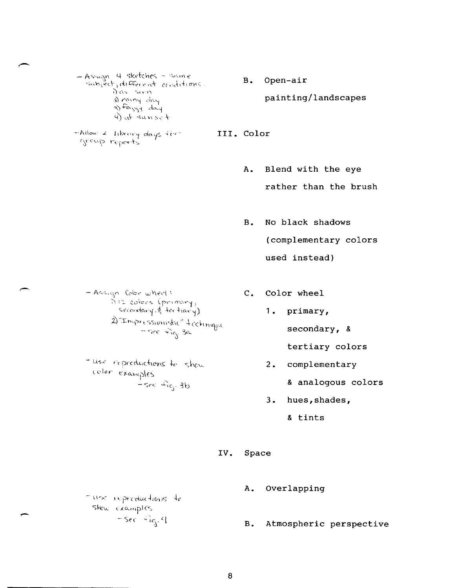8

- $-$  liese repreductions to  $skew\_example_5$
- $-$  Sec  $+$ ic<sub>j</sub>,  $\in$
- *-·/\1\0 .... ; L* Ilb"""1 d.oys ";{'<' group reports
- **B. Open-air painting/landscapes**
- **III. Color** 
	- **A. Blend with the eye rather than the brush**
	- **B. No black shadows (complementary colors used instead)**
- $-A$ c $-$  Ac $-$ , $-$ ne $-$  Color where  $\cdot$  $\int \ln z \cdot \text{coker} \leq (\text{p} \cdot \text{mconv}_1)$  $s$ econdary, $s_i'$  ter tiany) 2) "Impressionistic" + cchinque **secondary, &**  $-$  **secondary, &**

- use repreductions to show color examples  $-$ see  $\mathcal{L}_{\mathfrak{g}}$ . 3b

- **C. Color wheel** 
	- **1. primary,** 
		-
		- **tertiary colors**
	- **2. complementary** 
		- **& analogous colors**
	- **3.** hues, shades,
		- **& tints**
- **IV. Space** 
	-
	- **B. Atmospheric perspective**
	- **A. Overlapping**
- 

a) rainy day  $\Rightarrow$  Fazgy day 4) at  $sunks$ 

- Assign 4 sketches - 'sam*e*'  $\cdot$ subject, different conditions  $\overrightarrow{0}$  as seen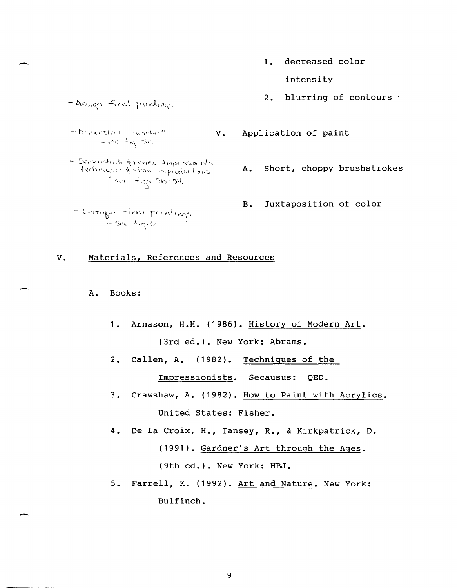1. decreased color

intensity

2. blurring of contours

- Assign fired paintings
- $\neg$  benordinate swadnes!  $V$ . Application of paint  $-$ se $\frac{1}{2}$  $n_{\chi}$ .  $\sin$
- Demonstrati & review Impressionists'  $+$ cchinique's  $\lambda$  show repreductions.  $\frac{1}{2}$  see  $\widehat{+}$  ics. 510  $\cdot$  5d.
- Critique -irral paintings
- - A. Short, choppy brushstrokes
	- B. Juxtaposition of color

# V. Materials, References and Resources

- A. Books:
	- 1. Arnason, H.H. (1986). History of Modern Art. (3rd ed.). New York: Abrams.
	- 2. Callen, A. (1982). Techniques of the

Impressionists. Secausus: QED.

- 3. Crawshaw, A. (1982). How to Paint with Acrylics. United States: Fisher.
- 4. De La Croix, H., Tansey, R., & Kirkpatrick, D. (1991). Gardner's Art through the Ages. (9th ed.). New York: HBJ.
- 5. Farrell, K. (1992). Art and Nature. New York: Bulfinch.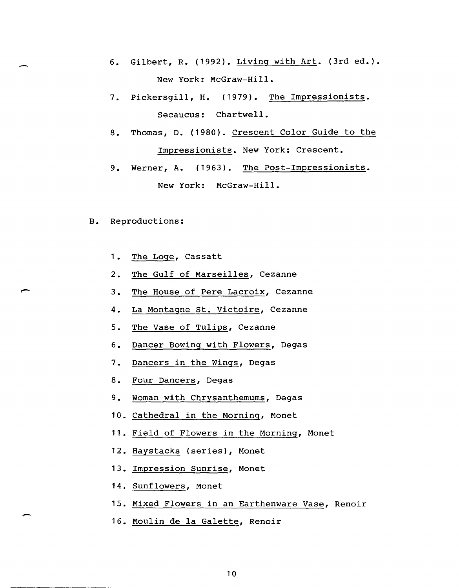- 6. Gilbert, R. (1992). Living with Art. (3rd ed.). New York: McGraw-Hill.
- 7. Pickersgill, H. (1979). The Impressionists. Secaucus: Chartwell.
- 8. Thomas, D. (1980). Crescent Color Guide to the Impressionists. New York: Crescent.
- 9. Werner, A. (1963). The Post-Impressionists. New York: McGraw-Hill.
- B. Reproductions:
	- 1. The Loge, Cassatt
	- 2. The Gulf of Marseilles, Cezanne
	- 3. The House of Pere Lacroix, Cezanne
	- 4. La Montagne st. Victoire, Cezanne
	- 5. The Vase of Tulips, Cezanne
	- 6. Dancer Bowing with Flowers, Degas
	- 7. Dancers in the Wings, Degas
	- 8. Four Dancers, Degas
	- 9. Woman with Chrysanthemums, Degas
	- 10. Cathedral in the Morning, Monet
	- 11. Field of Flowers in the Morning, Monet
	- 12. Haystacks (series), Monet
	- 13. Impression Sunrise, Monet
	- 14. Sunflowers, Monet
	- 15. Mixed Flowers in an Earthenware Vase, Renoir
	- 16. Moulin de la Galette, Renoir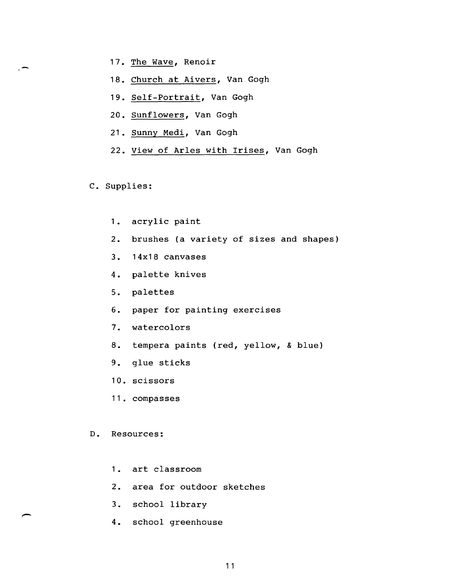- 17. The Wave, Renoir
- 18. Church at Aivers, Van Gogh
- 19. Self-Portrait, Van Gogh
- 20. Sunflowers, Van Gogh
- 21. Sunny Medi, Van Gogh
- 22. View of ArIes with Irises, Van Gogh

C. Supplies:

- 1. acrylic paint
- 2. brushes (a variety of sizes and shapes)
- 3. 14x18 canvases
- 4. palette knives
- 5. palettes
- 6. paper for painting exercises
- 7. watercolors
- 8. tempera paints (red, yellow, & blue)
- 9. glue sticks
- 10. scissors
- 11. compasses

#### D. Resources:

- 1. art classroom
- 2. area for outdoor sketches
- 3. school library
- 4. school greenhouse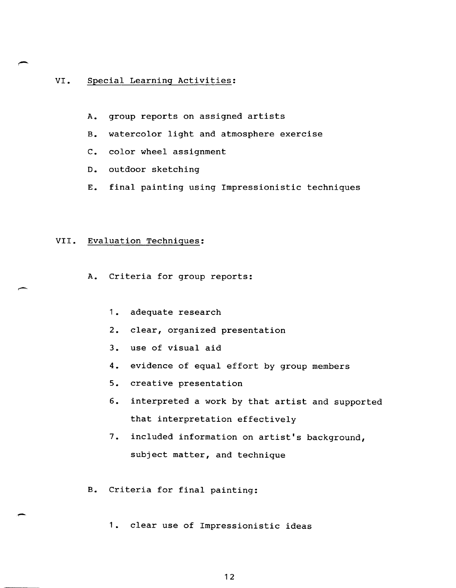## VI. Special Learning Activities:

- A. group reports on assigned artists
- B. watercolor light and atmosphere exercise
- C. color wheel assignment
- D. outdoor sketching
- E. final painting using Impressionistic techniques

## VII. Evaluation Technigues:

- A. Criteria for group reports:
	- 1. adequate research
	- 2. clear, organized presentation
	- 3. use of visual aid
	- 4. evidence of equal effort by group members
	- 5. creative presentation
	- 6. interpreted a work by that artist and supported that interpretation effectively
	- 7. included information on artist's background, subject matter, and technique
- B. Criteria for final painting:
	- 1. clear use of Impressionistic ideas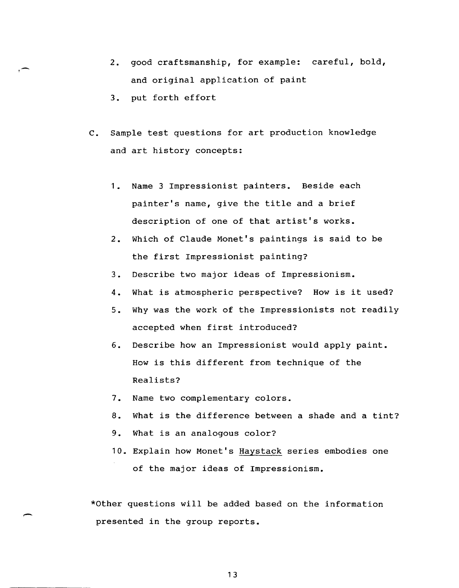- 2. good craftsmanship, for example: careful, bold, and original application of paint
- 3. put forth effort

.- T

- C. Sample test questions for art production knowledge and art history concepts:
	- 1. Name 3 Impressionist painters. Beside each painter's name, give the title and a brief description of one of that artist's works.
	- 2. Which of Claude Monet's paintings is said to be the first Impressionist painting?
	- 3. Describe two major ideas of Impressionism.
	- 4. What is atmospheric perspective? How is it used?
	- 5. Why was the work of the Impressionists not readily accepted when first introduced?
	- 6. Describe how an Impressionist would apply paint. How is this different from technique of the Realists?
	- 7. Name two complementary colors.
	- 8. What is the difference between a shade and a tint?
	- 9. What is an analogous color?
	- 10. Explain how Monet's Haystack series embodies one of the major ideas of Impressionism.

\*other questions will be added based on the information presented in the group reports.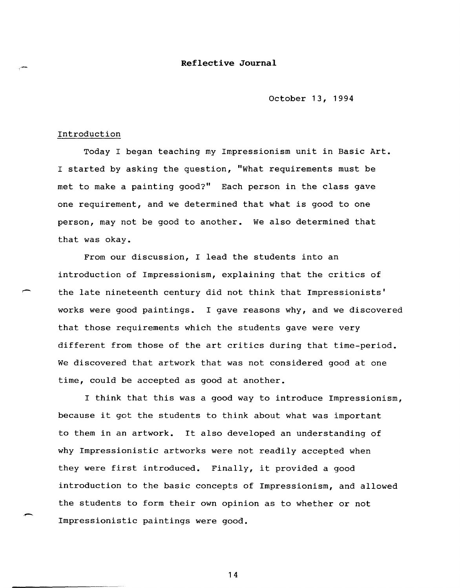## **Reflective Journal**

October 13, 1994

#### Introduction

Today I began teaching my Impressionism unit in Basic Art. I started by asking the question, "What requirements must be met to make a painting good?" Each person in the class gave one requirement, and we determined that what is good to one person, may not be good to another. We also determined that that was okay.

From our discussion, I lead the students into an introduction of Impressionism, explaining that the critics of the late nineteenth century did not think that Impressionists' works were good paintings. I gave reasons why, and we discovered that those requirements which the students gave were very different from those of the art critics during that time-period. We discovered that artwork that was not considered good at one time, could be accepted as good at another.

I think that this was a good way to introduce Impressionism, because it got the students to think about what was important to them in an artwork. It also developed an understanding of why Impressionistic artworks were not readily accepted when they were first introduced. Finally, it provided a good introduction to the basic concepts of Impressionism, and allowed the students to form their own opinion as to whether or not Impressionistic paintings were good.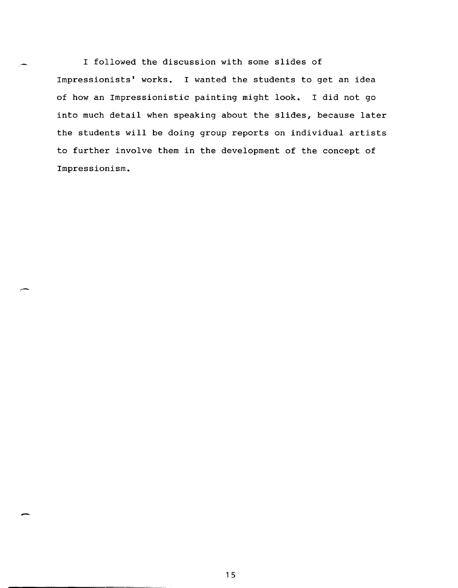I followed the discussion with some slides of Impressionists' works. I wanted the students to get an idea of how an Impressionistic painting might look. I did not go into much detail when speaking about the slides, because later the students will be doing group reports on individual artists to further involve them in the development of the concept of Impressionism.

-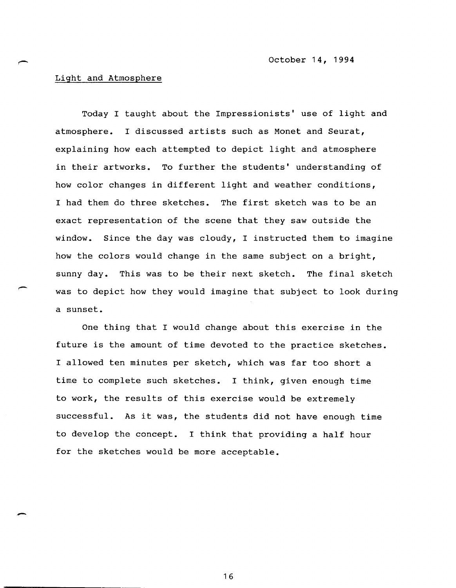## Light and Atmosphere

Today I taught about the Impressionists' use of light and atmosphere. I discussed artists such as Monet and Seurat, explaining how each attempted to depict light and atmosphere in their artworks. To further the students' understanding of how color changes in different light and weather conditions, I had them do three sketches. The first sketch was to be an exact representation of the scene that they saw outside the window. Since the day was cloudy, I instructed them to imagine how the colors would change in the same subject on a bright, sunny day. This was to be their next sketch. The final sketch was to depict how they would imagine that subject to look during a sunset.

One thing that I would change about this exercise in the future is the amount of time devoted to the practice sketches. I allowed ten minutes per sketch, which was far too short a time to complete such sketches. I think, given enough time to work, the results of this exercise would be extremely successful. As it was, the students did not have enough time to develop the concept. I think that providing a half hour for the sketches would be more acceptable.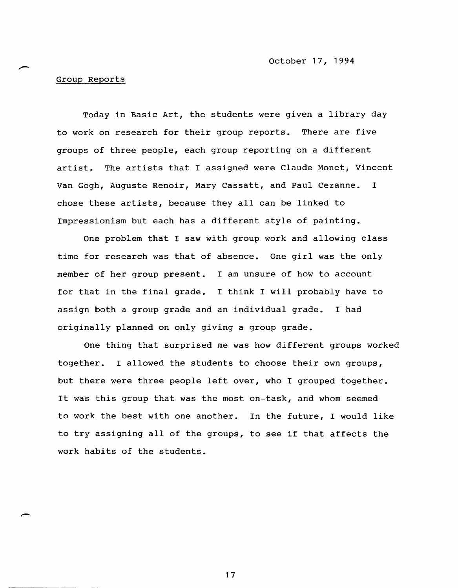october 17, 1994

# Group Reports

Today in Basic Art, the students were given a library day to work on research for their group reports. There are five groups of three people, each group reporting on a different artist. The artists that I assigned were Claude Monet, Vincent Van Gogh, Auguste Renoir, Mary Cassatt, and Paul Cezanne. I chose these artists, because they all can be linked to Impressionism but each has a different style of painting.

One problem that I saw with group work and allowing class time for research was that of absence. One girl was the only member of her group present. I am unsure of how to account for that in the final grade. I think I will probably have to assign both a group grade and an individual grade. I had originally planned on only giving a group grade.

One thing that surprised me was how different groups worked together. I allowed the students to choose their own groups, but there were three people left over, who I grouped together. It was this group that was the most on-task, and whom seemed to work the best with one another. In the future, I would like to try assigning all of the groups, to see if that affects the work habits of the students.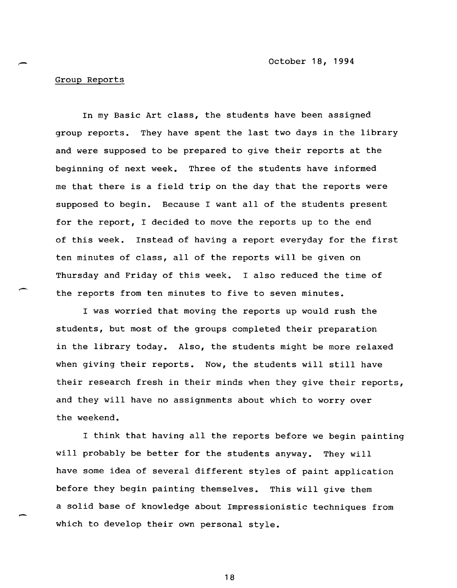october 18, 1994

### Group Reports

In my Basic Art class, the students have been assigned group reports. They have spent the last two days in the library and were supposed to be prepared to give their reports at the beginning of next week. Three of the students have informed me that there is a field trip on the day that the reports were supposed to begin. Because I want all of the students present for the report, I decided to move the reports up to the end of this week. Instead of having a report everyday for the first ten minutes of class, all of the reports will be given on Thursday and Friday of this week. I also reduced the time of the reports from ten minutes to five to seven minutes.

I was worried that moving the reports up would rush the students, but most of the groups completed their preparation in the library today. Also, the students might be more relaxed when giving their reports. Now, the students will still have their research fresh in their minds when they give their reports, and they will have no assignments about which to worry over the weekend.

I think that having all the reports before we begin painting will probably be better for the students anyway. They will have some idea of several different styles of paint application before they begin painting themselves. This will give them a solid base of knowledge about Impressionistic techniques from which to develop their own personal style.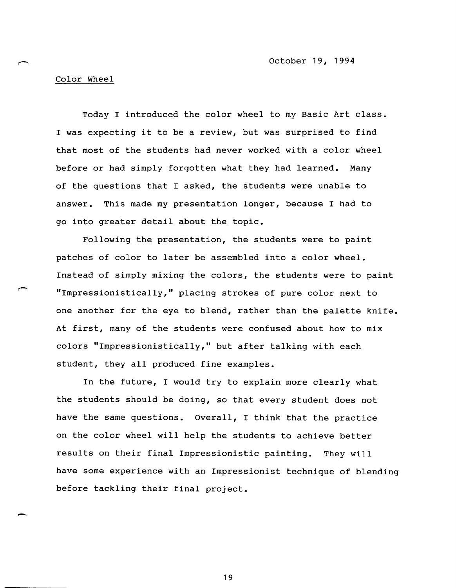october 19, 1994

# Color Wheel

-

Today I introduced the color wheel to my Basic Art class. I was expecting it to be a review, but was surprised to find that most of the students had never worked with a color wheel before or had simply forgotten what they had learned. Many of the questions that I asked, the students were unable to answer. This made my presentation longer, because I had to go into greater detail about the topic.

Following the presentation, the students were to paint patches of color to later be assembled into a color wheel. Instead of simply mixing the colors, the students were to paint "Impressionistically," placing strokes of pure color next to one another for the eye to blend, rather than the palette knife. At first, many of the students were confused about how to mix colors "Impressionistically," but after talking with each student, they all produced fine examples.

In the future, I would try to explain more clearly what the students should be doing, so that every student does not have the same questions. Overall, I think that the practice on the color wheel will help the students to achieve better results on their final Impressionistic painting. They will have some experience with an Impressionist technique of blending before tackling their final project.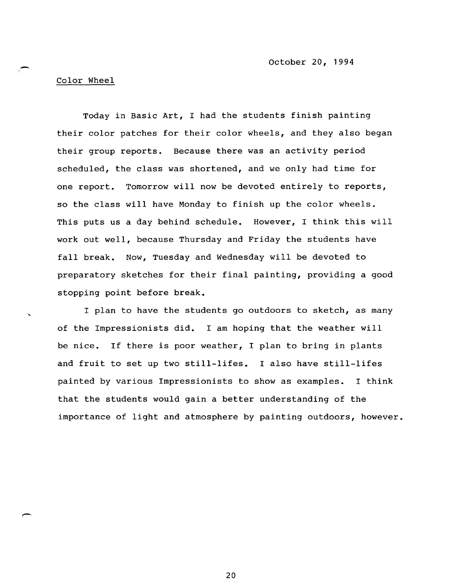## Color Wheel

I

Today in Basic Art, I had the students finish painting their color patches for their color wheels, and they also began their group reports. Because there was an activity period scheduled, the class was shortened, and we only had time for one report. Tomorrow will now be devoted entirely to reports, so the class will have Monday to finish up the color wheels. This puts us a day behind schedule. However, I think this will work out well, because Thursday and Friday the students have fall break. NOw, Tuesday and Wednesday will be devoted to preparatory sketches for their final painting, providing a good stopping point before break.

I plan to have the students go outdoors to sketch, as many of the Impressionists did. I am hoping that the weather will be nice. If there is poor weather, I plan to bring in plants and fruit to set up two still-lifes. I also have still-lifes painted by various Impressionists to show as examples. I think that the students would gain a better understanding of the importance of light and atmosphere by painting outdoors, however.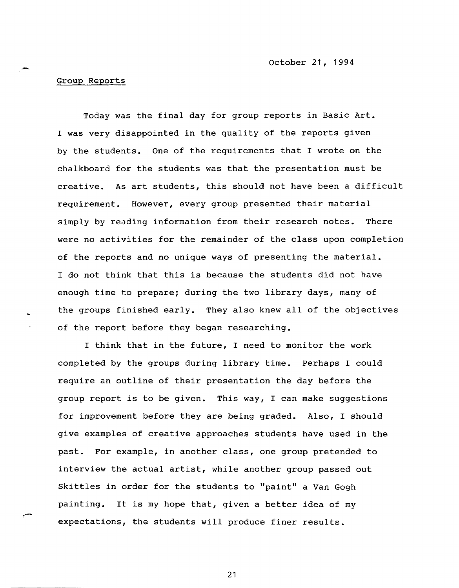.. - october 21, 1994

### Group Reports

Today was the final day for group reports in Basic Art. I was very disappointed in the quality of the reports given by the students. One of the requirements that I wrote on the chalkboard for the students was that the presentation must be creative. As art students, this should not have been a difficult requirement. However, every group presented their material simply by reading information from their research notes. There were no activities for the remainder of the class upon completion of the reports and no unique ways of presenting the material. I do not think that this is because the students did not have enough time to prepare; during the two library days, many of the groups finished early. They also knew all of the objectives of the report before they began researching.

I think that in the future, I need to monitor the work completed by the groups during library time. Perhaps I could require an outline of their presentation the day before the group report is to be given. This way, I can make suggestions for improvement before they are being graded. Also, I should give examples of creative approaches students have used in the past. For example, in another class, one group pretended to interview the actual artist, while another group passed out Skittles in order for the students to "paint" a Van Gogh painting. It is my hope that, given a better idea of my expectations, the students will produce finer results.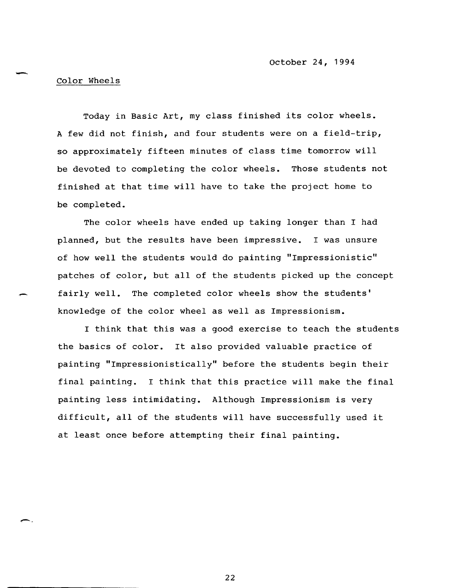#### Color Wheels

Today in Basic Art, my class finished its color wheels. A few did not finish, and four students were on a field-trip, so approximately fifteen minutes of class time tomorrow will be devoted to completing the color wheels. Those students not finished at that time will have to take the project home to be completed.

The color wheels have ended up taking longer than I had planned, but the results have been impressive. I was unsure of how well the students would do painting "Impressionistic" patches of color, but all of the students picked up the concept fairly well. The completed color wheels show the students' knowledge of the color wheel as well as Impressionism.

I think that this was a good exercise to teach the students the basics of color. It also provided valuable practice of painting "Impressionistically" before the students begin their final painting. I think that this practice will make the final painting less intimidating. Although Impressionism is very difficult, all of the students will have successfully used it at least once before attempting their final painting.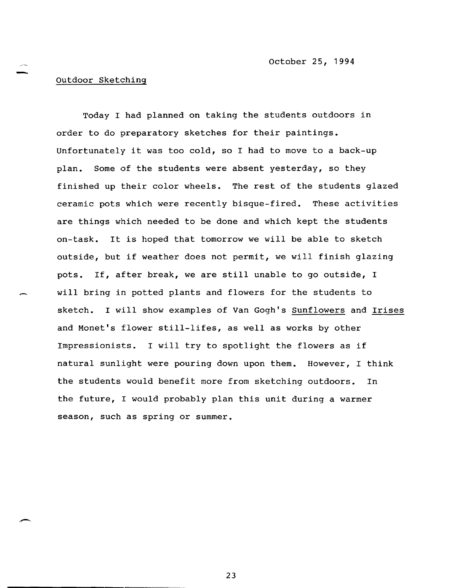# outdoor Sketching

Today I had planned on taking the students outdoors in order to do preparatory sketches for their paintings. Unfortunately it was too cold, so I had to move to a back-up plan. Some of the students were absent yesterday, so they finished up their color wheels. The rest of the students glazed ceramic pots which were recently bisque-fired. These activities are things which needed to be done and which kept the students on-task. It is hoped that tomorrow we will be able to sketch outside, but if weather does not permit, we will finish glazing pots. If, after break, we are still unable to go outside, I will bring in potted plants and flowers for the students to sketch. I will show examples of Van Gogh's Sunflowers and Irises and Monet's flower still-lifes, as well as works by other Impressionists. I will try to spotlight the flowers as if natural sunlight were pouring down upon them. However, I think the students would benefit more from sketching outdoors. In the future, I would probably plan this unit during a warmer season, such as spring or summer.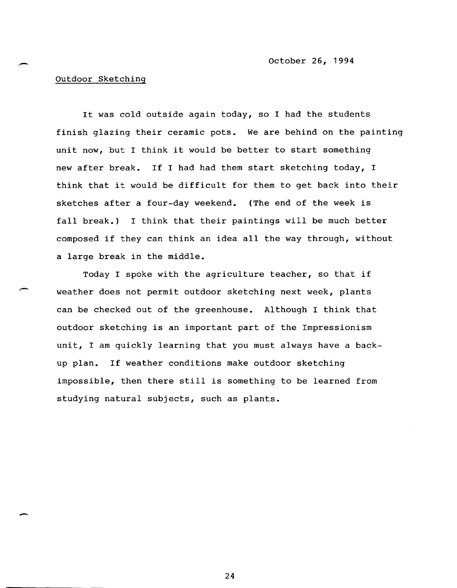# outdoor Sketching

-

It was cold outside again today, so I had the students finish glazing their ceramic pots. We are behind on the painting unit now, but I think it would be better to start something new after break. If I had had them start sketching today, I think that it would be difficult for them to get back into their sketches after a four-day weekend. (The end of the week is fall break.) I think that their paintings will be much better composed if they can think an idea all the way through, without a large break in the middle.

Today I spoke with the agriculture teacher, so that if weather does not permit outdoor sketching next week, plants can be checked out of the greenhouse. Although I think that outdoor sketching is an important part of the Impressionism unit, I am quickly learning that you must always have a backup plan. If weather conditions make outdoor sketching impossible, then there still is something to be learned from studying natural subjects, such as plants.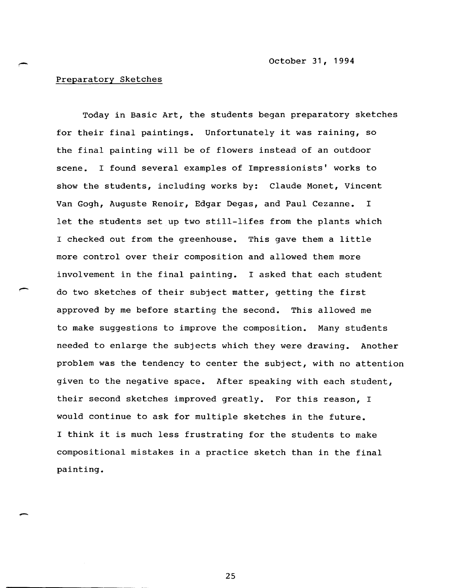## Preparatory Sketches

Today in Basic Art, the students began preparatory sketches for their final paintings. Unfortunately it was raining, so the final painting will be of flowers instead of an outdoor scene. I found several examples of Impressionists' works to show the students, including works by: Claude Monet, Vincent Van Gogh, Auguste Renoir, Edgar Degas, and Paul Cezanne. I let the students set up two still-lifes from the plants which I checked out from the greenhouse. This gave them a little more control over their composition and allowed them more involvement in the final painting. I asked that each student do two sketches of their subject matter, getting the first approved by me before starting the second. This allowed me to make suggestions to improve the composition. Many students needed to enlarge the subjects which they were drawing. Another problem was the tendency to center the subject, with no attention given to the negative space. After speaking with each student, their second sketches improved greatly. For this reason, I would continue to ask for multiple sketches in the future. I think it is much less frustrating for the students to make compositional mistakes in a practice sketch than in the final painting.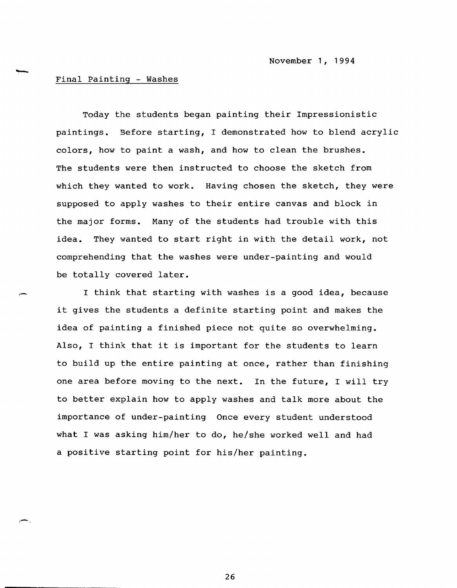## Final Painting - Washes

r-'

Today the students began painting their Impressionistic paintings. Before starting, I demonstrated how to blend acrylic colors, how to paint a wash, and how to clean the brushes. The students were then instructed to choose the sketch from which they wanted to work. Having chosen the sketch, they were supposed to apply washes to their entire canvas and block in the major forms. Many of the students had trouble with this idea. They wanted to start right in with the detail work, not comprehendin9 that the washes were under-painting and would be totally covered later.

I think that starting with washes is a good idea, because it gives the students a definite starting point and makes the idea of painting a finished piece not quite so overwhelming. Also, I think that it is important for the students to learn to build up the entire painting at once, rather than finishing one area before moving to the next. In the future, I will try to better explain how to apply washes and talk more about the importance of under-painting Once every student understood what I was asking him/her to do, he/she worked well and had a positive starting point for his/her painting.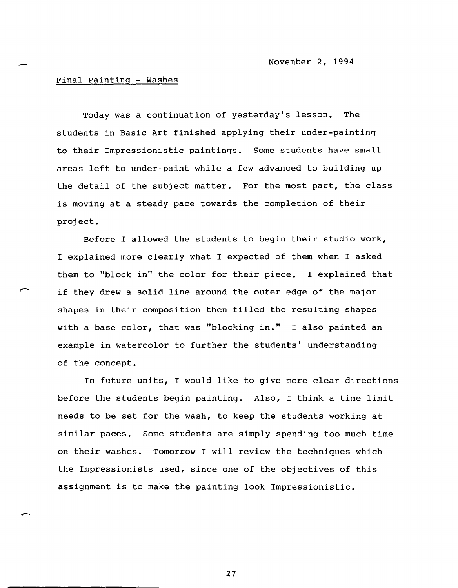#### Final Painting - Washes

Today was a continuation of yesterday's lesson. The students in Basic Art finished applying their under-painting to their Impressionistic paintings. Some students have small areas left to under-paint while a few advanced to building up the detail of the subject matter. For the most part, the class is moving at a steady pace towards the completion of their project.

Before I allowed the students to begin their studio work, I explained more clearly what I expected of them when I asked them to "block in" the color for their piece. I explained that if they drew a solid line around the outer edge of the major shapes in their composition then filled the resulting shapes with a base color, that was "blocking in." I also painted an example in watercolor to further the students' understanding of the concept.

In future units, I would like to give more clear directions before the students begin painting. Also, I think a time limit needs to be set for the wash, to keep the students working at similar paces. Some students are simply spending too much time on their washes. Tomorrow I will review the techniques which the Impressionists used, since one of the objectives of this assignment is to make the painting look Impressionistic.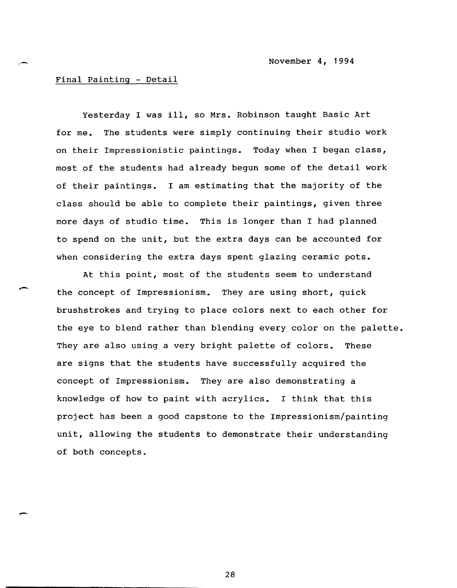November 4, 1994

### Final Painting - Detail

Yesterday I was ill, so Mrs. Robinson taught Basic Art for me. The students were simply continuing their studio work on their Impressionistic paintings. Today when I began class, most of the students had already begun some of the detail work of their paintings. I am estimating that the majority of the class should be able to complete their paintings, given three more days of studio time. This is longer than I had planned to spend on the unit, but the extra days can be accounted for when considering the extra days spent glazing ceramic pots.

At this point, most of the students seem to understand the concept of Impressionism. They are using short, quick brush strokes and trying to place colors next to each other for the eye to blend rather than blending every color on the palette. They are also using a very bright palette of colors. These are signs that the students have successfully acquired the concept of Impressionism. They are also demonstrating a knowledge of how to paint with acrylics. I think that this project has been a good capstone to the Impressionism/painting unit, allowing the students to demonstrate their understanding of both concepts.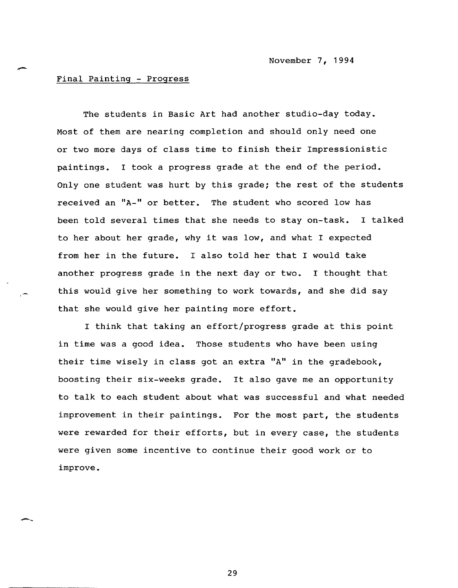#### Final Painting - Progress

The students in Basic Art had another studio-day today. Most of them are nearing completion and should only need one or two more days of class time to finish their Impressionistic paintings. I took a progress grade at the end of the period. Only one student was hurt by this grade; the rest of the students received an "A-" or better. The student who scored low has been told several times that she needs to stay on-task. I talked to her about her grade, why it was low, and what I expected from her in the future. I also told her that I would take another progress grade in the next day or two. I thought that this would give her something to work towards, and she did say that she would give her painting more effort.

I think that taking an effort/progress grade at this point in time was a good idea. Those students who have been using their time wisely in class got an extra "A" in the gradebook, boosting their six-weeks grade. It also gave me an opportunity to talk to each student about what was successful and what needed improvement in their paintings. For the most part, the students were rewarded for their efforts, but in every case, the students were given some incentive to continue their good work or to improve.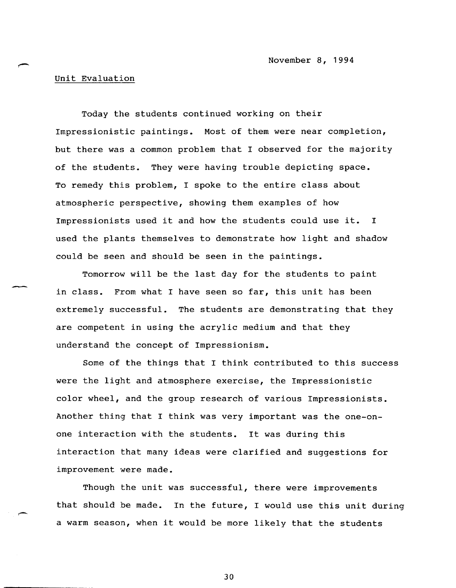# Unit Evaluation

Today the students continued working on their Impressionistic paintings. Most of them were near completion, but there was a common problem that I observed for the majority of the students. They were having trouble depicting space. To remedy this problem, I spoke to the entire class about atmospheric perspective, showing them examples of how Impressionists used it and how the students could use it. I used the plants themselves to demonstrate how light and shadow could be seen and should be seen in the paintings.

Tomorrow will be the last day for the students to paint in class. From what I have seen so far, this unit has been extremely successful. The students are demonstrating that they are competent in using the acrylic medium and that they understand the concept of Impressionism.

Some of the things that I think contributed to this success were the light and atmosphere exercise, the Impressionistic color wheel, and the group research of various Impressionists. Another thing that I think was very important was the one-onone interaction with the students. It was during this interaction that many ideas were clarified and suggestions for improvement were made.

Though the unit was successful, there were improvements that should be made. In the future, I would use this unit during a warm season, when it would be more likely that the students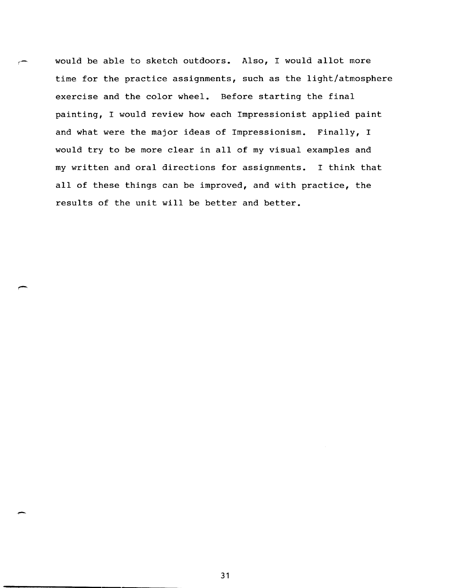would be able to sketch outdoors. Also, I would allot more time for the practice assignments, such as the light/atmosphere exercise and the color wheel. Before starting the final painting, I would review how each Impressionist applied paint and what were the major ideas of Impressionism. Finally, I would try to be more clear in all of my visual examples and my written and oral directions for assignments. I think that all of these things can be improved, and with practice, the results of the unit will be better and better.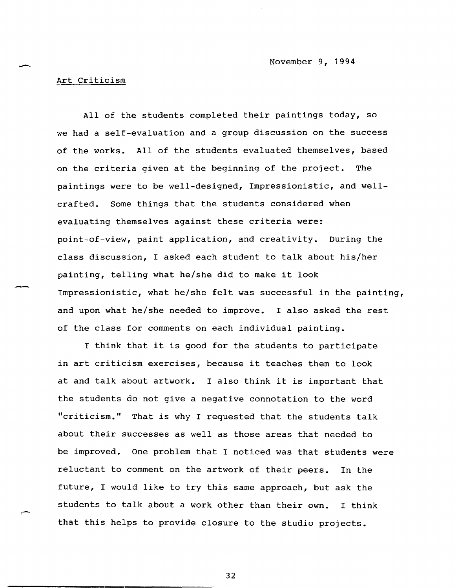November 9, 1994

Art Criticism

 $\overline{\phantom{0}}$ 

--

All of the students completed their paintings today, so we had a self-evaluation and a group discussion on the success of the works. All of the students evaluated themselves, based on the criteria given at the beginning of the project. The paintings were to be well-designed, Impressionistic, and wellcrafted. Some things that the students considered when evaluating themselves against these criteria were: point-of-view, paint application, and creativity. During the class discussion, I asked each student to talk about his/her painting, telling what he/she did to make it look Impressionistic, what he/she felt was successful in the painting, and upon what he/she needed to improve. I also asked the rest of the class for comments on each individual painting.

I think that it is good for the students to participate in art criticism exercises, because it teaches them to look at and talk about artwork. I also think it is important that the students do not give a negative connotation to the word "criticism." That is why I requested that the students talk about their successes as well as those areas that needed to be improved. One problem that I noticed was that students were reluctant to comment on the artwork of their peers. In the future, I would like to try this same approach, but ask the students to talk about a work other than their own. I think that this helps to provide closure to the studio projects.